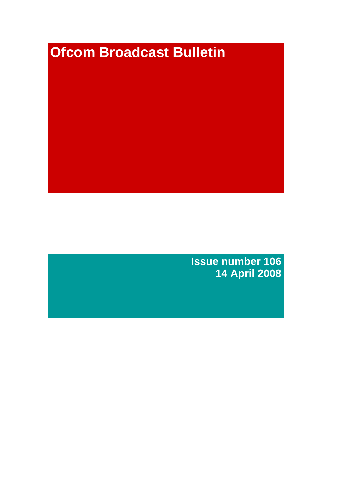# **Ofcom Broadcast Bulletin**

**Issue number 106 14 April 2008**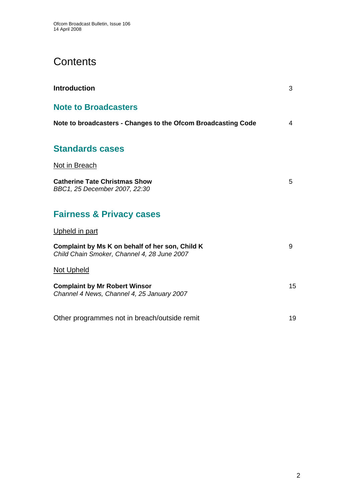# **Contents**

| <b>Introduction</b>                                                                            | 3  |
|------------------------------------------------------------------------------------------------|----|
| <b>Note to Broadcasters</b>                                                                    |    |
| Note to broadcasters - Changes to the Ofcom Broadcasting Code                                  | 4  |
| <b>Standards cases</b>                                                                         |    |
| Not in Breach                                                                                  |    |
| <b>Catherine Tate Christmas Show</b><br>BBC1, 25 December 2007, 22:30                          | 5  |
| <b>Fairness &amp; Privacy cases</b>                                                            |    |
| Upheld in part                                                                                 |    |
| Complaint by Ms K on behalf of her son, Child K<br>Child Chain Smoker, Channel 4, 28 June 2007 | 9  |
| <b>Not Upheld</b>                                                                              |    |
| <b>Complaint by Mr Robert Winsor</b><br>Channel 4 News, Channel 4, 25 January 2007             | 15 |
| Other programmes not in breach/outside remit                                                   | 19 |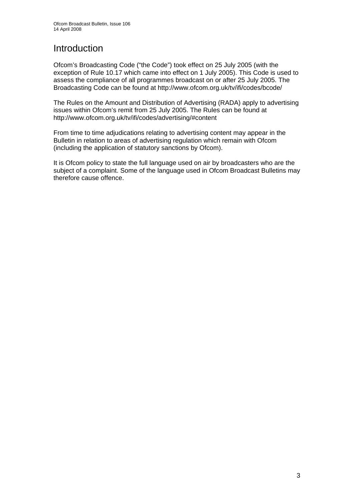# **Introduction**

Ofcom's Broadcasting Code ("the Code") took effect on 25 July 2005 (with the exception of Rule 10.17 which came into effect on 1 July 2005). This Code is used to assess the compliance of all programmes broadcast on or after 25 July 2005. The Broadcasting Code can be found at http://www.ofcom.org.uk/tv/ifi/codes/bcode/

The Rules on the Amount and Distribution of Advertising (RADA) apply to advertising issues within Ofcom's remit from 25 July 2005. The Rules can be found at http://www.ofcom.org.uk/tv/ifi/codes/advertising/#content

From time to time adjudications relating to advertising content may appear in the Bulletin in relation to areas of advertising regulation which remain with Ofcom (including the application of statutory sanctions by Ofcom).

It is Ofcom policy to state the full language used on air by broadcasters who are the subject of a complaint. Some of the language used in Ofcom Broadcast Bulletins may therefore cause offence.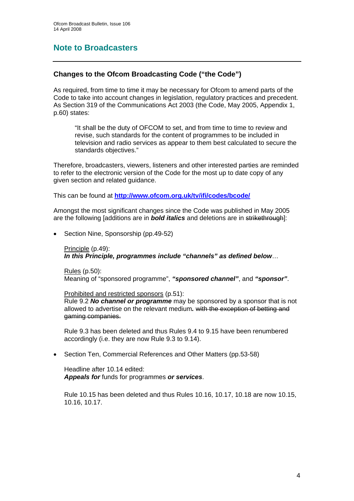## **Note to Broadcasters**

### **Changes to the Ofcom Broadcasting Code ("the Code")**

As required, from time to time it may be necessary for Ofcom to amend parts of the Code to take into account changes in legislation, regulatory practices and precedent. As Section 319 of the Communications Act 2003 (the Code, May 2005, Appendix 1, p.60) states:

 "It shall be the duty of OFCOM to set, and from time to time to review and revise, such standards for the content of programmes to be included in television and radio services as appear to them best calculated to secure the standards objectives."

Therefore, broadcasters, viewers, listeners and other interested parties are reminded to refer to the electronic version of the Code for the most up to date copy of any given section and related guidance.

This can be found at **<http://www.ofcom.org.uk/tv/ifi/codes/bcode/>**

Amongst the most significant changes since the Code was published in May 2005 are the following [additions are in *bold italics* and deletions are in strikethrough]:

• Section Nine, Sponsorship (pp.49-52)

Principle (p.49): *In this Principle, programmes include "channels" as defined below*…

Rules (p.50): Meaning of "sponsored programme", *"sponsored channel"*, and *"sponsor"*.

Prohibited and restricted sponsors (p.51):

Rule 9.2 *No channel or programme* may be sponsored by a sponsor that is not allowed to advertise on the relevant medium*.* with the exception of betting and gaming companies.

Rule 9.3 has been deleted and thus Rules 9.4 to 9.15 have been renumbered accordingly (i.e. they are now Rule 9.3 to 9.14).

• Section Ten, Commercial References and Other Matters (pp.53-58)

 Headline after 10.14 edited: *Appeals for* funds for programmes *or services*.

Rule 10.15 has been deleted and thus Rules 10.16, 10.17, 10.18 are now 10.15, 10.16, 10.17.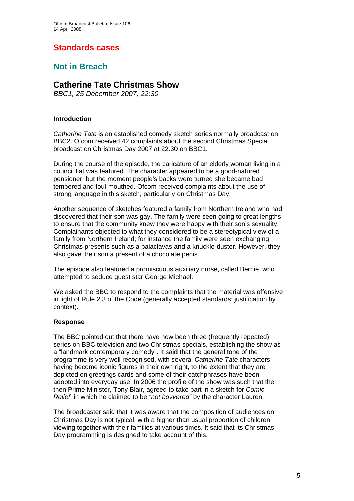## **Standards cases**

## **Not in Breach**

## **Catherine Tate Christmas Show**

*BBC1, 25 December 2007, 22:30* 

#### **Introduction**

*Catherine Tate* is an established comedy sketch series normally broadcast on BBC2. Ofcom received 42 complaints about the second Christmas Special broadcast on Christmas Day 2007 at 22.30 on BBC1.

During the course of the episode, the caricature of an elderly woman living in a council flat was featured. The character appeared to be a good-natured pensioner, but the moment people's backs were turned she became bad tempered and foul-mouthed. Ofcom received complaints about the use of strong language in this sketch, particularly on Christmas Day.

Another sequence of sketches featured a family from Northern Ireland who had discovered that their son was gay. The family were seen going to great lengths to ensure that the community knew they were happy with their son's sexuality. Complainants objected to what they considered to be a stereotypical view of a family from Northern Ireland; for instance the family were seen exchanging Christmas presents such as a balaclavas and a knuckle-duster. However, they also gave their son a present of a chocolate penis.

The episode also featured a promiscuous auxiliary nurse, called Bernie, who attempted to seduce guest star George Michael.

We asked the BBC to respond to the complaints that the material was offensive in light of Rule 2.3 of the Code (generally accepted standards; justification by context).

#### **Response**

The BBC pointed out that there have now been three (frequently repeated) series on BBC television and two Christmas specials, establishing the show as a "landmark contemporary comedy". It said that the general tone of the programme is very well recognised, with several *Catherine Tate* characters having become iconic figures in their own right, to the extent that they are depicted on greetings cards and some of their catchphrases have been adopted into everyday use. In 2006 the profile of the show was such that the then Prime Minister, Tony Blair, agreed to take part in a sketch for *Comic Relief*, in which he claimed to be *"not bovvered"* by the character Lauren.

The broadcaster said that it was aware that the composition of audiences on Christmas Day is not typical, with a higher than usual proportion of children viewing together with their families at various times. It said that its Christmas Day programming is designed to take account of this.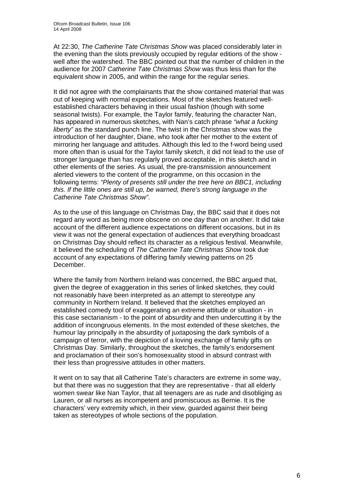At 22:30, *The Catherine Tate Christmas Show* was placed considerably later in the evening than the slots previously occupied by regular editions of the show well after the watershed. The BBC pointed out that the number of children in the audience for 2007 *Catherine Tate Christmas Show* was thus less than for the equivalent show in 2005, and within the range for the regular series.

It did not agree with the complainants that the show contained material that was out of keeping with normal expectations. Most of the sketches featured wellestablished characters behaving in their usual fashion (though with some seasonal twists). For example, the Taylor family, featuring the character Nan, has appeared in numerous sketches, with Nan's catch phrase *"what a fucking liberty"* as the standard punch line. The twist in the Christmas show was the introduction of her daughter, Diane, who took after her mother to the extent of mirroring her language and attitudes. Although this led to the f-word being used more often than is usual for the Taylor family sketch, it did not lead to the use of stronger language than has regularly proved acceptable, in this sketch and in other elements of the series. As usual, the pre-transmission announcement alerted viewers to the content of the programme, on this occasion in the following terms: *"Plenty of presents still under the tree here on BBC1, including this. If the little ones are still up, be warned, there's strong language in the Catherine Tate Christmas Show"*.

As to the use of this language on Christmas Day, the BBC said that it does not regard any word as being more obscene on one day than on another. It did take account of the different audience expectations on different occasions, but in its view it was not the general expectation of audiences that everything broadcast on Christmas Day should reflect its character as a religious festival. Meanwhile, it believed the scheduling of *The Catherine Tate Christmas Show* took due account of any expectations of differing family viewing patterns on 25 December.

Where the family from Northern Ireland was concerned, the BBC argued that, given the degree of exaggeration in this series of linked sketches, they could not reasonably have been interpreted as an attempt to stereotype any community in Northern Ireland. It believed that the sketches employed an established comedy tool of exaggerating an extreme attitude or situation - in this case sectarianism - to the point of absurdity and then undercutting it by the addition of incongruous elements. In the most extended of these sketches, the humour lay principally in the absurdity of juxtaposing the dark symbols of a campaign of terror, with the depiction of a loving exchange of family gifts on Christmas Day. Similarly, throughout the sketches, the family's endorsement and proclamation of their son's homosexuality stood in absurd contrast with their less than progressive attitudes in other matters.

It went on to say that all Catherine Tate's characters are extreme in some way, but that there was no suggestion that they are representative - that all elderly women swear like Nan Taylor, that all teenagers are as rude and disobliging as Lauren, or all nurses as incompetent and promiscuous as Bernie. It is the characters' very extremity which, in their view, guarded against their being taken as stereotypes of whole sections of the population.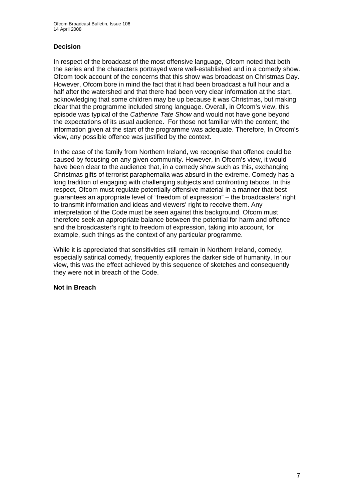#### **Decision**

In respect of the broadcast of the most offensive language, Ofcom noted that both the series and the characters portrayed were well-established and in a comedy show. Ofcom took account of the concerns that this show was broadcast on Christmas Day. However, Ofcom bore in mind the fact that it had been broadcast a full hour and a half after the watershed and that there had been very clear information at the start, acknowledging that some children may be up because it was Christmas, but making clear that the programme included strong language. Overall, in Ofcom's view, this episode was typical of the *Catherine Tate Show* and would not have gone beyond the expectations of its usual audience. For those not familiar with the content, the information given at the start of the programme was adequate. Therefore, In Ofcom's view, any possible offence was justified by the context.

In the case of the family from Northern Ireland, we recognise that offence could be caused by focusing on any given community. However, in Ofcom's view, it would have been clear to the audience that, in a comedy show such as this, exchanging Christmas gifts of terrorist paraphernalia was absurd in the extreme. Comedy has a long tradition of engaging with challenging subjects and confronting taboos. In this respect, Ofcom must regulate potentially offensive material in a manner that best guarantees an appropriate level of "freedom of expression" – the broadcasters' right to transmit information and ideas and viewers' right to receive them. Any interpretation of the Code must be seen against this background. Ofcom must therefore seek an appropriate balance between the potential for harm and offence and the broadcaster's right to freedom of expression, taking into account, for example, such things as the context of any particular programme.

While it is appreciated that sensitivities still remain in Northern Ireland, comedy, especially satirical comedy, frequently explores the darker side of humanity. In our view, this was the effect achieved by this sequence of sketches and consequently they were not in breach of the Code.

#### **Not in Breach**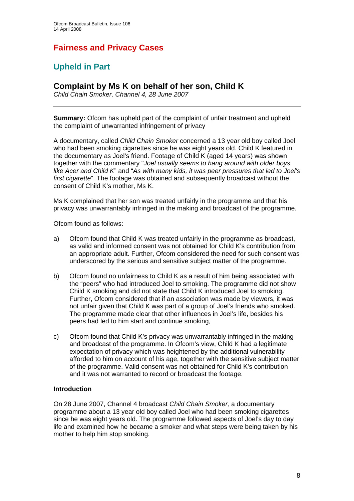# **Fairness and Privacy Cases**

# **Upheld in Part**

## **Complaint by Ms K on behalf of her son, Child K**

*Child Chain Smoker, Channel 4, 28 June 2007* 

**Summary:** Ofcom has upheld part of the complaint of unfair treatment and upheld the complaint of unwarranted infringement of privacy

A documentary, called *Child Chain Smoker* concerned a 13 year old boy called Joel who had been smoking cigarettes since he was eight years old. Child K featured in the documentary as Joel's friend. Footage of Child K (aged 14 years) was shown together with the commentary "*Joel usually seems to hang around with older boys like Acer and Child K*" and "*As with many kids, it was peer pressures that led to Joel's first cigarette*". The footage was obtained and subsequently broadcast without the consent of Child K's mother, Ms K.

Ms K complained that her son was treated unfairly in the programme and that his privacy was unwarrantably infringed in the making and broadcast of the programme.

Ofcom found as follows:

- a) Ofcom found that Child K was treated unfairly in the programme as broadcast, as valid and informed consent was not obtained for Child K's contribution from an appropriate adult. Further, Ofcom considered the need for such consent was underscored by the serious and sensitive subject matter of the programme.
- b) Ofcom found no unfairness to Child K as a result of him being associated with the "peers" who had introduced Joel to smoking. The programme did not show Child K smoking and did not state that Child K introduced Joel to smoking. Further, Ofcom considered that if an association was made by viewers, it was not unfair given that Child K was part of a group of Joel's friends who smoked. The programme made clear that other influences in Joel's life, besides his peers had led to him start and continue smoking,
- c) Ofcom found that Child K's privacy was unwarrantably infringed in the making and broadcast of the programme. In Ofcom's view, Child K had a legitimate expectation of privacy which was heightened by the additional vulnerability afforded to him on account of his age, together with the sensitive subject matter of the programme. Valid consent was not obtained for Child K's contribution and it was not warranted to record or broadcast the footage.

#### **Introduction**

On 28 June 2007, Channel 4 broadcast *Child Chain Smoker,* a documentary programme about a 13 year old boy called Joel who had been smoking cigarettes since he was eight years old. The programme followed aspects of Joel's day to day life and examined how he became a smoker and what steps were being taken by his mother to help him stop smoking.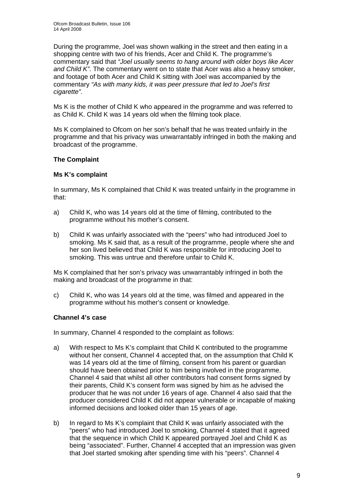During the programme, Joel was shown walking in the street and then eating in a shopping centre with two of his friends, Acer and Child K. The programme's commentary said that *"Joel usually seems to hang around with older boys like Acer and Child K"*. The commentary went on to state that Acer was also a heavy smoker, and footage of both Acer and Child K sitting with Joel was accompanied by the commentary *"As with many kids, it was peer pressure that led to Joel's first cigarette"*.

Ms K is the mother of Child K who appeared in the programme and was referred to as Child K. Child K was 14 years old when the filming took place.

Ms K complained to Ofcom on her son's behalf that he was treated unfairly in the programme and that his privacy was unwarrantably infringed in both the making and broadcast of the programme.

#### **The Complaint**

#### **Ms K's complaint**

In summary, Ms K complained that Child K was treated unfairly in the programme in that:

- a) Child K, who was 14 years old at the time of filming, contributed to the programme without his mother's consent.
- b) Child K was unfairly associated with the "peers" who had introduced Joel to smoking. Ms K said that, as a result of the programme, people where she and her son lived believed that Child K was responsible for introducing Joel to smoking. This was untrue and therefore unfair to Child K.

Ms K complained that her son's privacy was unwarrantably infringed in both the making and broadcast of the programme in that:

c) Child K, who was 14 years old at the time, was filmed and appeared in the programme without his mother's consent or knowledge.

#### **Channel 4's case**

In summary, Channel 4 responded to the complaint as follows:

- a) With respect to Ms K's complaint that Child K contributed to the programme without her consent, Channel 4 accepted that, on the assumption that Child K was 14 years old at the time of filming, consent from his parent or guardian should have been obtained prior to him being involved in the programme. Channel 4 said that whilst all other contributors had consent forms signed by their parents, Child K's consent form was signed by him as he advised the producer that he was not under 16 years of age. Channel 4 also said that the producer considered Child K did not appear vulnerable or incapable of making informed decisions and looked older than 15 years of age.
- b) In regard to Ms K's complaint that Child K was unfairly associated with the "peers" who had introduced Joel to smoking, Channel 4 stated that it agreed that the sequence in which Child K appeared portrayed Joel and Child K as being "associated". Further, Channel 4 accepted that an impression was given that Joel started smoking after spending time with his "peers". Channel 4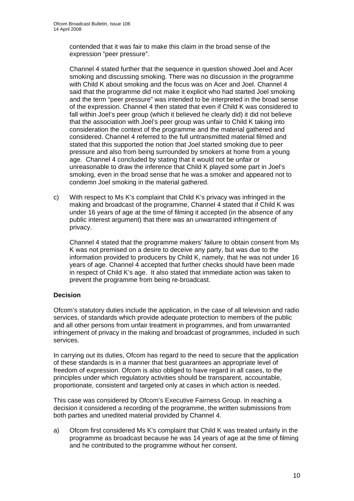contended that it was fair to make this claim in the broad sense of the expression "peer pressure".

 Channel 4 stated further that the sequence in question showed Joel and Acer smoking and discussing smoking. There was no discussion in the programme with Child K about smoking and the focus was on Acer and Joel. Channel 4 said that the programme did not make it explicit who had started Joel smoking and the term "peer pressure" was intended to be interpreted in the broad sense of the expression. Channel 4 then stated that even if Child K was considered to fall within Joel's peer group (which it believed he clearly did) it did not believe that the association with Joel's peer group was unfair to Child K taking into consideration the context of the programme and the material gathered and considered. Channel 4 referred to the full untransmitted material filmed and stated that this supported the notion that Joel started smoking due to peer pressure and also from being surrounded by smokers at home from a young age. Channel 4 concluded by stating that it would not be unfair or unreasonable to draw the inference that Child K played some part in Joel's smoking, even in the broad sense that he was a smoker and appeared not to condemn Joel smoking in the material gathered.

c) With respect to Ms K's complaint that Child K's privacy was infringed in the making and broadcast of the programme, Channel 4 stated that if Child K was under 16 years of age at the time of filming it accepted (in the absence of any public interest argument) that there was an unwarranted infringement of privacy.

 Channel 4 stated that the programme makers' failure to obtain consent from Ms K was not premised on a desire to deceive any party, but was due to the information provided to producers by Child K, namely, that he was not under 16 years of age. Channel 4 accepted that further checks should have been made in respect of Child K's age. It also stated that immediate action was taken to prevent the programme from being re-broadcast.

#### **Decision**

Ofcom's statutory duties include the application, in the case of all television and radio services, of standards which provide adequate protection to members of the public and all other persons from unfair treatment in programmes, and from unwarranted infringement of privacy in the making and broadcast of programmes, included in such services.

In carrying out its duties, Ofcom has regard to the need to secure that the application of these standards is in a manner that best guarantees an appropriate level of freedom of expression. Ofcom is also obliged to have regard in all cases, to the principles under which regulatory activities should be transparent, accountable, proportionate, consistent and targeted only at cases in which action is needed.

This case was considered by Ofcom's Executive Fairness Group. In reaching a decision it considered a recording of the programme, the written submissions from both parties and unedited material provided by Channel 4.

a) Ofcom first considered Ms K's complaint that Child K was treated unfairly in the programme as broadcast because he was 14 years of age at the time of filming and he contributed to the programme without her consent.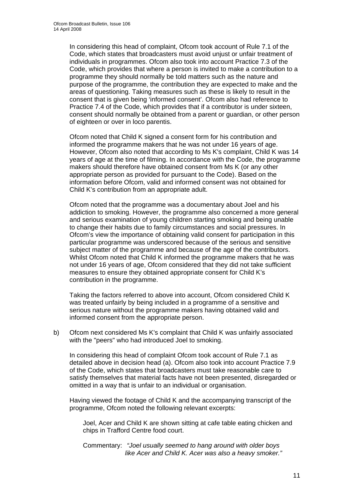In considering this head of complaint, Ofcom took account of Rule 7.1 of the Code, which states that broadcasters must avoid unjust or unfair treatment of individuals in programmes. Ofcom also took into account Practice 7.3 of the Code, which provides that where a person is invited to make a contribution to a programme they should normally be told matters such as the nature and purpose of the programme, the contribution they are expected to make and the areas of questioning. Taking measures such as these is likely to result in the consent that is given being 'informed consent'. Ofcom also had reference to Practice 7.4 of the Code, which provides that if a contributor is under sixteen, consent should normally be obtained from a parent or guardian, or other person of eighteen or over in loco parentis.

 Ofcom noted that Child K signed a consent form for his contribution and informed the programme makers that he was not under 16 years of age. However, Ofcom also noted that according to Ms K's complaint, Child K was 14 years of age at the time of filming. In accordance with the Code, the programme makers should therefore have obtained consent from Ms K (or any other appropriate person as provided for pursuant to the Code). Based on the information before Ofcom, valid and informed consent was not obtained for Child K's contribution from an appropriate adult.

 Ofcom noted that the programme was a documentary about Joel and his addiction to smoking. However, the programme also concerned a more general and serious examination of young children starting smoking and being unable to change their habits due to family circumstances and social pressures. In Ofcom's view the importance of obtaining valid consent for participation in this particular programme was underscored because of the serious and sensitive subject matter of the programme and because of the age of the contributors. Whilst Ofcom noted that Child K informed the programme makers that he was not under 16 years of age, Ofcom considered that they did not take sufficient measures to ensure they obtained appropriate consent for Child K's contribution in the programme.

 Taking the factors referred to above into account, Ofcom considered Child K was treated unfairly by being included in a programme of a sensitive and serious nature without the programme makers having obtained valid and informed consent from the appropriate person.

b) Ofcom next considered Ms K's complaint that Child K was unfairly associated with the "peers" who had introduced Joel to smoking.

In considering this head of complaint Ofcom took account of Rule 7.1 as detailed above in decision head (a). Ofcom also took into account Practice 7.9 of the Code, which states that broadcasters must take reasonable care to satisfy themselves that material facts have not been presented, disregarded or omitted in a way that is unfair to an individual or organisation.

 Having viewed the footage of Child K and the accompanying transcript of the programme, Ofcom noted the following relevant excerpts:

Joel, Acer and Child K are shown sitting at cafe table eating chicken and chips in Trafford Centre food court.

Commentary: *"Joel usually seemed to hang around with older boys like Acer and Child K. Acer was also a heavy smoker."*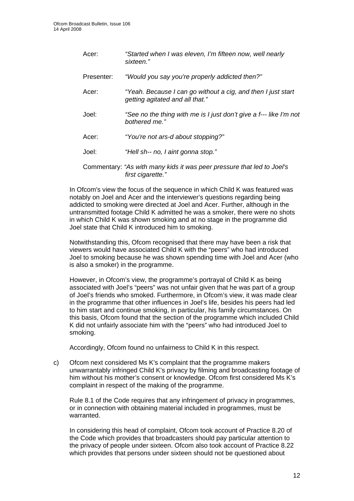Acer: *"Started when I was eleven, I'm fifteen now, well nearly sixteen."*  Presenter: *"Would you say you're properly addicted then?"*  Acer: *"Yeah. Because I can go without a cig, and then I just start getting agitated and all that."*  Joel: *"See no the thing with me is I just don't give a f--- like I'm not bothered me."*  Acer: *"You're not ars-d about stopping?"*  Joel: *"Hell sh-- no, I aint gonna stop."*  Commentary: *"As with many kids it was peer pressure that led to Joel's first cigarette."*

 In Ofcom's view the focus of the sequence in which Child K was featured was notably on Joel and Acer and the interviewer's questions regarding being addicted to smoking were directed at Joel and Acer. Further, although in the untransmitted footage Child K admitted he was a smoker, there were no shots in which Child K was shown smoking and at no stage in the programme did Joel state that Child K introduced him to smoking.

 Notwithstanding this, Ofcom recognised that there may have been a risk that viewers would have associated Child K with the "peers" who had introduced Joel to smoking because he was shown spending time with Joel and Acer (who is also a smoker) in the programme.

 However, in Ofcom's view, the programme's portrayal of Child K as being associated with Joel's "peers" was not unfair given that he was part of a group of Joel's friends who smoked. Furthermore, in Ofcom's view, it was made clear in the programme that other influences in Joel's life, besides his peers had led to him start and continue smoking, in particular, his family circumstances. On this basis, Ofcom found that the section of the programme which included Child K did not unfairly associate him with the "peers" who had introduced Joel to smoking.

Accordingly, Ofcom found no unfairness to Child K in this respect.

c) Ofcom next considered Ms K's complaint that the programme makers unwarrantably infringed Child K's privacy by filming and broadcasting footage of him without his mother's consent or knowledge. Ofcom first considered Ms K's complaint in respect of the making of the programme.

 Rule 8.1 of the Code requires that any infringement of privacy in programmes, or in connection with obtaining material included in programmes, must be warranted.

 In considering this head of complaint, Ofcom took account of Practice 8.20 of the Code which provides that broadcasters should pay particular attention to the privacy of people under sixteen. Ofcom also took account of Practice 8.22 which provides that persons under sixteen should not be questioned about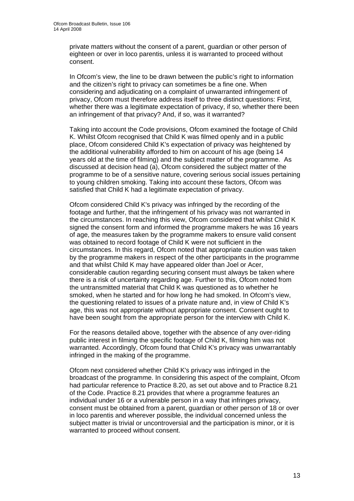private matters without the consent of a parent, guardian or other person of eighteen or over in loco parentis, unless it is warranted to proceed without consent.

 In Ofcom's view, the line to be drawn between the public's right to information and the citizen's right to privacy can sometimes be a fine one. When considering and adjudicating on a complaint of unwarranted infringement of privacy, Ofcom must therefore address itself to three distinct questions: First, whether there was a legitimate expectation of privacy, if so, whether there been an infringement of that privacy? And, if so, was it warranted?

 Taking into account the Code provisions, Ofcom examined the footage of Child K. Whilst Ofcom recognised that Child K was filmed openly and in a public place, Ofcom considered Child K's expectation of privacy was heightened by the additional vulnerability afforded to him on account of his age (being 14 years old at the time of filming) and the subject matter of the programme. As discussed at decision head (a), Ofcom considered the subject matter of the programme to be of a sensitive nature, covering serious social issues pertaining to young children smoking. Taking into account these factors, Ofcom was satisfied that Child K had a legitimate expectation of privacy.

 Ofcom considered Child K's privacy was infringed by the recording of the footage and further, that the infringement of his privacy was not warranted in the circumstances. In reaching this view, Ofcom considered that whilst Child K signed the consent form and informed the programme makers he was 16 years of age, the measures taken by the programme makers to ensure valid consent was obtained to record footage of Child K were not sufficient in the circumstances. In this regard, Ofcom noted that appropriate caution was taken by the programme makers in respect of the other participants in the programme and that whilst Child K may have appeared older than Joel or Acer, considerable caution regarding securing consent must always be taken where there is a risk of uncertainty regarding age. Further to this, Ofcom noted from the untransmitted material that Child K was questioned as to whether he smoked, when he started and for how long he had smoked. In Ofcom's view, the questioning related to issues of a private nature and, in view of Child K's age, this was not appropriate without appropriate consent. Consent ought to have been sought from the appropriate person for the interview with Child K.

 For the reasons detailed above, together with the absence of any over-riding public interest in filming the specific footage of Child K, filming him was not warranted. Accordingly, Ofcom found that Child K's privacy was unwarrantably infringed in the making of the programme.

 Ofcom next considered whether Child K's privacy was infringed in the broadcast of the programme. In considering this aspect of the complaint, Ofcom had particular reference to Practice 8.20, as set out above and to Practice 8.21 of the Code. Practice 8.21 provides that where a programme features an individual under 16 or a vulnerable person in a way that infringes privacy, consent must be obtained from a parent, guardian or other person of 18 or over in loco parentis and wherever possible, the individual concerned unless the subject matter is trivial or uncontroversial and the participation is minor, or it is warranted to proceed without consent.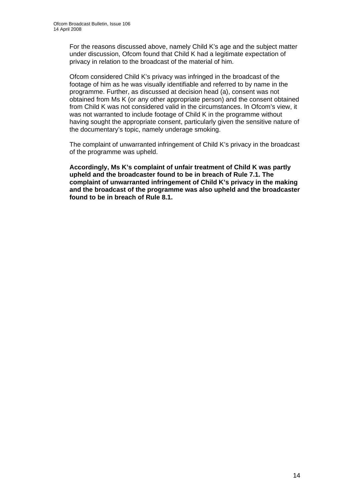For the reasons discussed above, namely Child K's age and the subject matter under discussion, Ofcom found that Child K had a legitimate expectation of privacy in relation to the broadcast of the material of him.

 Ofcom considered Child K's privacy was infringed in the broadcast of the footage of him as he was visually identifiable and referred to by name in the programme. Further, as discussed at decision head (a), consent was not obtained from Ms K (or any other appropriate person) and the consent obtained from Child K was not considered valid in the circumstances. In Ofcom's view, it was not warranted to include footage of Child K in the programme without having sought the appropriate consent, particularly given the sensitive nature of the documentary's topic, namely underage smoking.

 The complaint of unwarranted infringement of Child K's privacy in the broadcast of the programme was upheld.

**Accordingly, Ms K's complaint of unfair treatment of Child K was partly upheld and the broadcaster found to be in breach of Rule 7.1. The complaint of unwarranted infringement of Child K's privacy in the making and the broadcast of the programme was also upheld and the broadcaster found to be in breach of Rule 8.1.**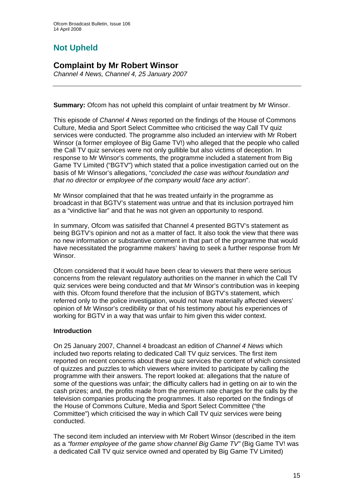# **Not Upheld**

## **Complaint by Mr Robert Winsor**

*Channel 4 News, Channel 4, 25 January 2007* 

**Summary:** Ofcom has not upheld this complaint of unfair treatment by Mr Winsor.

This episode of *Channel 4 News* reported on the findings of the House of Commons Culture, Media and Sport Select Committee who criticised the way Call TV quiz services were conducted. The programme also included an interview with Mr Robert Winsor (a former employee of Big Game TV!) who alleged that the people who called the Call TV quiz services were not only gullible but also victims of deception. In response to Mr Winsor's comments, the programme included a statement from Big Game TV Limited ("BGTV") which stated that a police investigation carried out on the basis of Mr Winsor's allegations, "*concluded the case was without foundation and that no director or employee of the company would face any action*".

Mr Winsor complained that that he was treated unfairly in the programme as broadcast in that BGTV's statement was untrue and that its inclusion portrayed him as a "vindictive liar" and that he was not given an opportunity to respond.

In summary, Ofcom was satisifed that Channel 4 presented BGTV's statement as being BGTV's opinion and not as a matter of fact. It also took the view that there was no new information or substantive comment in that part of the programme that would have necessitated the programme makers' having to seek a further response from Mr Winsor.

Ofcom considered that it would have been clear to viewers that there were serious concerns from the relevant regulatory authorities on the manner in which the Call TV quiz services were being conducted and that Mr Winsor's contribution was in keeping with this. Ofcom found therefore that the inclusion of BGTV's statement, which referred only to the police investigation, would not have materially affected viewers' opinion of Mr Winsor's credibility or that of his testimony about his experiences of working for BGTV in a way that was unfair to him given this wider context.

#### **Introduction**

On 25 January 2007, Channel 4 broadcast an edition of *Channel 4 News* which included two reports relating to dedicated Call TV quiz services. The first item reported on recent concerns about these quiz services the content of which consisted of quizzes and puzzles to which viewers where invited to participate by calling the programme with their answers. The report looked at: allegations that the nature of some of the questions was unfair; the difficulty callers had in getting on air to win the cash prizes; and, the profits made from the premium rate charges for the calls by the television companies producing the programmes. It also reported on the findings of the House of Commons Culture, Media and Sport Select Committee ("the Committee") which criticised the way in which Call TV quiz services were being conducted.

The second item included an interview with Mr Robert Winsor (described in the item as a *"former employee of the game show channel Big Game TV"* (Big Game TV! was a dedicated Call TV quiz service owned and operated by Big Game TV Limited)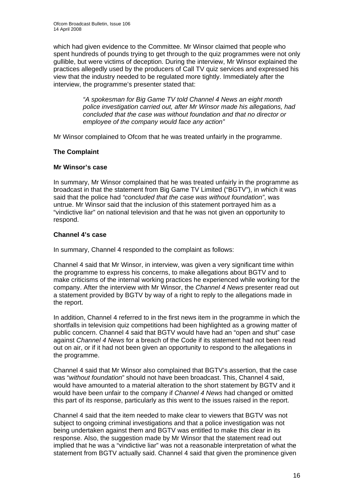which had given evidence to the Committee. Mr Winsor claimed that people who spent hundreds of pounds trying to get through to the quiz programmes were not only gullible, but were victims of deception. During the interview, Mr Winsor explained the practices allegedly used by the producers of Call TV quiz services and expressed his view that the industry needed to be regulated more tightly. Immediately after the interview, the programme's presenter stated that:

> *"A spokesman for Big Game TV told Channel 4 News an eight month police investigation carried out, after Mr Winsor made his allegations, had concluded that the case was without foundation and that no director or employee of the company would face any action"*

Mr Winsor complained to Ofcom that he was treated unfairly in the programme.

#### **The Complaint**

#### **Mr Winsor's case**

In summary, Mr Winsor complained that he was treated unfairly in the programme as broadcast in that the statement from Big Game TV Limited ("BGTV"), in which it was said that the police had *"concluded that the case was without foundation"*, was untrue. Mr Winsor said that the inclusion of this statement portrayed him as a "vindictive liar" on national television and that he was not given an opportunity to respond.

#### **Channel 4's case**

In summary, Channel 4 responded to the complaint as follows:

Channel 4 said that Mr Winsor, in interview, was given a very significant time within the programme to express his concerns, to make allegations about BGTV and to make criticisms of the internal working practices he experienced while working for the company. After the interview with Mr Winsor, the *Channel 4 News* presenter read out a statement provided by BGTV by way of a right to reply to the allegations made in the report.

In addition, Channel 4 referred to in the first news item in the programme in which the shortfalls in television quiz competitions had been highlighted as a growing matter of public concern. Channel 4 said that BGTV would have had an "open and shut" case against *Channel 4 News* for a breach of the Code if its statement had not been read out on air, or if it had not been given an opportunity to respond to the allegations in the programme.

Channel 4 said that Mr Winsor also complained that BGTV's assertion, that the case was "*without foundation*" should not have been broadcast. This, Channel 4 said, would have amounted to a material alteration to the short statement by BGTV and it would have been unfair to the company if *Channel 4 News* had changed or omitted this part of its response, particularly as this went to the issues raised in the report.

Channel 4 said that the item needed to make clear to viewers that BGTV was not subject to ongoing criminal investigations and that a police investigation was not being undertaken against them and BGTV was entitled to make this clear in its response. Also, the suggestion made by Mr Winsor that the statement read out implied that he was a "vindictive liar" was not a reasonable interpretation of what the statement from BGTV actually said. Channel 4 said that given the prominence given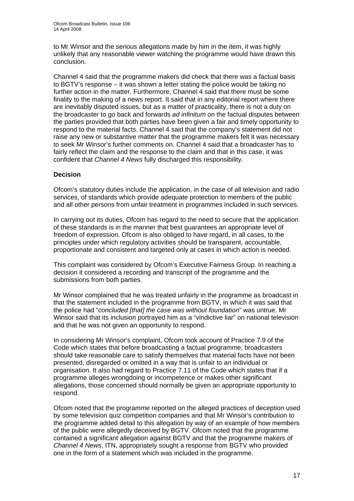to Mr Winsor and the serious allegations made by him in the item, it was highly unlikely that any reasonable viewer watching the programme would have drawn this conclusion.

Channel 4 said that the programme makers did check that there was a factual basis to BGTV's response – it was shown a letter stating the police would be taking no further action in the matter. Furthermore, Channel 4 said that there must be some finality to the making of a news report. It said that in any editorial report where there are inevitably disputed issues, but as a matter of practicality, there is not a duty on the broadcaster to go back and forwards *ad infinitum* on the factual disputes between the parties provided that both parties have been given a fair and timely opportunity to respond to the material facts. Channel 4 said that the company's statement did not raise any new or substantive matter that the programme makers felt it was necessary to seek Mr Winsor's further comments on. Channel 4 said that a broadcaster has to fairly reflect the claim and the response to the claim and that in this case, it was confident that *Channel 4 News* fully discharged this responsibility.

#### **Decision**

Ofcom's statutory duties include the application, in the case of all television and radio services, of standards which provide adequate protection to members of the public and all other persons from unfair treatment in programmes included in such services.

In carrying out its duties, Ofcom has regard to the need to secure that the application of these standards is in the manner that best guarantees an appropriate level of freedom of expression. Ofcom is also obliged to have regard, in all cases, to the principles under which regulatory activities should be transparent, accountable, proportionate and consistent and targeted only at cases in which action is needed.

This complaint was considered by Ofcom's Executive Fairness Group. In reaching a decision it considered a recording and transcript of the programme and the submissions from both parties.

Mr Winsor complained that he was treated unfairly in the programme as broadcast in that the statement included in the programme from BGTV, in which it was said that the police had "*concluded [that] the case was without foundation*" was untrue. Mr Winsor said that its inclusion portrayed him as a "vindictive liar" on national television and that he was not given an opportunity to respond.

In considering Mr Winsor's complaint, Ofcom took account of Practice 7.9 of the Code which states that before broadcasting a factual programme, broadcasters should take reasonable care to satisfy themselves that material facts have not been presented, disregarded or omitted in a way that is unfair to an individual or organisation. It also had regard to Practice 7.11 of the Code which states that if a programme alleges wrongdoing or incompetence or makes other significant allegations, those concerned should normally be given an appropriate opportunity to respond.

Ofcom noted that the programme reported on the alleged practices of deception used by some television quiz competition companies and that Mr Winsor's contribution to the programme added detail to this allegation by way of an example of how members of the public were allegedly deceived by BGTV. Ofcom noted that the programme contained a significant allegation against BGTV and that the programme makers of *Channel 4 News*, ITN, appropriately sought a response from BGTV who provided one in the form of a statement which was included in the programme.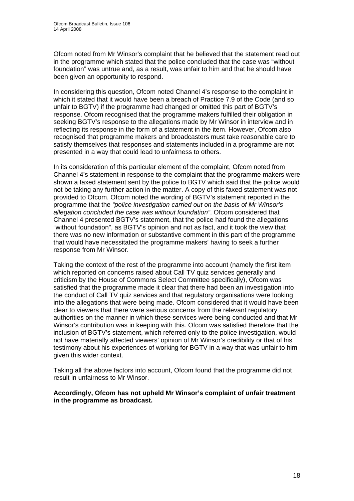Ofcom noted from Mr Winsor's complaint that he believed that the statement read out in the programme which stated that the police concluded that the case was "without foundation" was untrue and, as a result, was unfair to him and that he should have been given an opportunity to respond.

In considering this question, Ofcom noted Channel 4's response to the complaint in which it stated that it would have been a breach of Practice 7.9 of the Code (and so unfair to BGTV) if the programme had changed or omitted this part of BGTV's response. Ofcom recognised that the programme makers fulfilled their obligation in seeking BGTV's response to the allegations made by Mr Winsor in interview and in reflecting its response in the form of a statement in the item. However, Ofcom also recognised that programme makers and broadcasters must take reasonable care to satisfy themselves that responses and statements included in a programme are not presented in a way that could lead to unfairness to others.

In its consideration of this particular element of the complaint, Ofcom noted from Channel 4's statement in response to the complaint that the programme makers were shown a faxed statement sent by the police to BGTV which said that the police would not be taking any further action in the matter. A copy of this faxed statement was not provided to Ofcom. Ofcom noted the wording of BGTV's statement reported in the programme that the *"police investigation carried out on the basis of Mr Winsor's allegation concluded the case was without foundation"*. Ofcom considered that Channel 4 presented BGTV's statement, that the police had found the allegations "without foundation", as BGTV's opinion and not as fact, and it took the view that there was no new information or substantive comment in this part of the programme that would have necessitated the programme makers' having to seek a further response from Mr Winsor.

Taking the context of the rest of the programme into account (namely the first item which reported on concerns raised about Call TV quiz services generally and criticism by the House of Commons Select Committee specifically), Ofcom was satisfied that the programme made it clear that there had been an investigation into the conduct of Call TV quiz services and that regulatory organisations were looking into the allegations that were being made. Ofcom considered that it would have been clear to viewers that there were serious concerns from the relevant regulatory authorities on the manner in which these services were being conducted and that Mr Winsor's contribution was in keeping with this. Ofcom was satisfied therefore that the inclusion of BGTV's statement, which referred only to the police investigation, would not have materially affected viewers' opinion of Mr Winsor's credibility or that of his testimony about his experiences of working for BGTV in a way that was unfair to him given this wider context.

Taking all the above factors into account, Ofcom found that the programme did not result in unfairness to Mr Winsor.

**Accordingly, Ofcom has not upheld Mr Winsor's complaint of unfair treatment in the programme as broadcast.**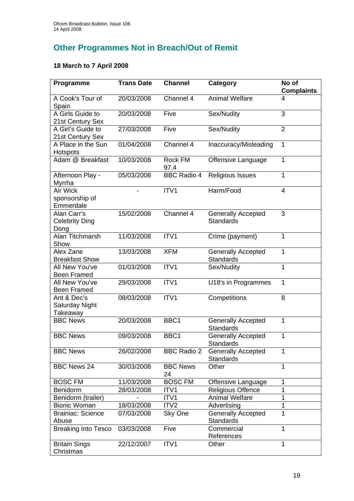# **Other Programmes Not in Breach/Out of Remit**

## **18 March to 7 April 2008**

| Programme                                    | <b>Trans Date</b> | <b>Channel</b>        | Category                                      | No of<br><b>Complaints</b> |
|----------------------------------------------|-------------------|-----------------------|-----------------------------------------------|----------------------------|
| A Cook's Tour of<br>Spain                    | 20/03/2008        | Channel 4             | <b>Animal Welfare</b>                         | 4                          |
| A Girls Guide to<br>21st Century Sex         | 20/03/2008        | Five                  | Sex/Nudity                                    | 3                          |
| A Girl's Guide to<br>21st Century Sex        | 27/03/2008        | Five                  | Sex/Nudity                                    | $\overline{2}$             |
| A Place in the Sun<br>Hotspots               | 01/04/2008        | Channel 4             | Inaccuracy/Misleading                         | 1                          |
| Adam @ Breakfast                             | 10/03/2008        | Rock FM<br>97.4       | Offensive Language                            | 1                          |
| Afternoon Play -<br>Myrrha                   | 05/03/2008        | <b>BBC Radio 4</b>    | <b>Religious Issues</b>                       | 1                          |
| Air Wick<br>sponsorship of<br>Emmerdale      |                   | ITV1                  | Harm/Food                                     | 4                          |
| Alan Carr's<br><b>Celebrity Ding</b><br>Dong | 15/02/2008        | Channel 4             | <b>Generally Accepted</b><br><b>Standards</b> | 3                          |
| Alan Titchmarsh<br>Show                      | 11/03/2008        | ITV1                  | Crime (payment)                               | 1                          |
| Alex Zane<br><b>Breakfast Show</b>           | 13/03/2008        | <b>XFM</b>            | <b>Generally Accepted</b><br><b>Standards</b> | 1                          |
| All New You've<br><b>Been Framed</b>         | 01/03/2008        | ITV1                  | Sex/Nudity                                    | 1                          |
| All New You've<br><b>Been Framed</b>         | 29/03/2008        | ITV1                  | U18's in Programmes                           | 1                          |
| Ant & Dec's<br>Saturday Night<br>Takeaway    | 08/03/2008        | ITV1                  | Competitions                                  | 8                          |
| <b>BBC News</b>                              | 20/03/2008        | BBC1                  | <b>Generally Accepted</b><br><b>Standards</b> | 1                          |
| <b>BBC News</b>                              | 09/03/2008        | BBC <sub>1</sub>      | <b>Generally Accepted</b><br>Standards        | 1                          |
| <b>BBC News</b>                              | 26/02/2008        | <b>BBC Radio 2</b>    | <b>Generally Accepted</b><br><b>Standards</b> | 1                          |
| <b>BBC News 24</b>                           | 30/03/2008        | <b>BBC News</b><br>24 | Other                                         | 1                          |
| <b>BOSC FM</b>                               | 11/03/2008        | <b>BOSC FM</b>        | Offensive Language                            | 1                          |
| Benidorm                                     | 28/03/2008        | ITV <sub>1</sub>      | <b>Religious Offence</b>                      | 1                          |
| Benidorm (trailer)                           |                   | ITV1                  | <b>Animal Welfare</b>                         | 1                          |
| <b>Bionic Woman</b>                          | 18/03/2008        | ITV <sub>2</sub>      | Advertising                                   | 1                          |
| <b>Brainiac: Science</b><br>Abuse            | 07/03/2008        | Sky One               | <b>Generally Accepted</b><br><b>Standards</b> | 1                          |
| <b>Breaking Into Tesco</b>                   | 03/03/2008        | Five                  | Commercial<br>References                      | 1                          |
| <b>Britain Sings</b><br>Christmas            | 22/12/2007        | ITV1                  | Other                                         | 1                          |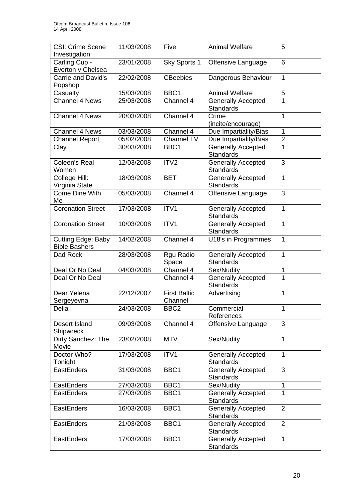| <b>CSI: Crime Scene</b>                           | 11/03/2008 | Five                           | <b>Animal Welfare</b>                         | 5                       |
|---------------------------------------------------|------------|--------------------------------|-----------------------------------------------|-------------------------|
| Investigation                                     |            |                                |                                               |                         |
| Carling Cup -<br>Everton v Chelsea                | 23/01/2008 | Sky Sports 1                   | Offensive Language                            | 6                       |
| Carrie and David's<br>Popshop                     | 22/02/2008 | <b>CBeebies</b>                | Dangerous Behaviour                           | 1                       |
| Casualty                                          | 15/03/2008 | BBC1                           | <b>Animal Welfare</b>                         | 5                       |
| <b>Channel 4 News</b>                             | 25/03/2008 | Channel 4                      | <b>Generally Accepted</b><br><b>Standards</b> | $\overline{1}$          |
| Channel 4 News                                    | 20/03/2008 | Channel 4                      | Crime<br>(incite/encourage)                   | 1                       |
| <b>Channel 4 News</b>                             | 03/03/2008 | Channel 4                      | Due Impartiality/Bias                         | 1                       |
| <b>Channel Report</b>                             | 05/02/2008 | Channel TV                     | Due Impartiality/Bias                         | $\overline{\mathbf{c}}$ |
| Clay                                              | 30/03/2008 | BBC1                           | <b>Generally Accepted</b><br><b>Standards</b> | 1                       |
| <b>Coleen's Real</b><br>Women                     | 12/03/2008 | ITV <sub>2</sub>               | <b>Generally Accepted</b><br><b>Standards</b> | 3                       |
| College Hill:<br>Virginia State                   | 18/03/2008 | <b>BET</b>                     | <b>Generally Accepted</b><br><b>Standards</b> | 1                       |
| <b>Come Dine With</b><br>Me                       | 05/03/2008 | Channel 4                      | Offensive Language                            | 3                       |
| <b>Coronation Street</b>                          | 17/03/2008 | ITV1                           | <b>Generally Accepted</b><br><b>Standards</b> | $\mathbf{1}$            |
| <b>Coronation Street</b>                          | 10/03/2008 | ITV1                           | <b>Generally Accepted</b><br><b>Standards</b> | 1                       |
| <b>Cutting Edge: Baby</b><br><b>Bible Bashers</b> | 14/02/2008 | Channel 4                      | U18's in Programmes                           | 1                       |
| Dad Rock                                          | 28/03/2008 | Rgu Radio<br>Space             | <b>Generally Accepted</b><br><b>Standards</b> | 1                       |
| Deal Or No Deal                                   | 04/03/2008 | Channel 4                      | Sex/Nudity                                    | 1                       |
| Deal Or No Deal                                   |            | Channel 4                      | <b>Generally Accepted</b><br><b>Standards</b> | 1                       |
| Dear Yelena<br>Sergeyevna                         | 22/12/2007 | <b>First Baltic</b><br>Channel | Advertising                                   | 1                       |
| Delia                                             | 24/03/2008 | BBC <sub>2</sub>               | Commercial<br>References                      | 1                       |
| Desert Island<br>Shipwreck                        | 09/03/2008 | Channel 4                      | Offensive Language                            | 3                       |
| Dirty Sanchez: The<br>Movie                       | 23/02/2008 | <b>MTV</b>                     | Sex/Nudity                                    | $\mathbf{1}$            |
| Doctor Who?<br>Tonight                            | 17/03/2008 | ITV1                           | <b>Generally Accepted</b><br>Standards        | $\mathbf{1}$            |
| EastEnders                                        | 31/03/2008 | BBC1                           | <b>Generally Accepted</b><br><b>Standards</b> | 3                       |
| EastEnders                                        | 27/03/2008 | BBC1                           | Sex/Nudity                                    | 1                       |
| <b>EastEnders</b>                                 | 27/03/2008 | BBC1                           | <b>Generally Accepted</b><br><b>Standards</b> | 1                       |
| EastEnders                                        | 16/03/2008 | BBC1                           | <b>Generally Accepted</b><br><b>Standards</b> | $\overline{2}$          |
| EastEnders                                        | 21/03/2008 | BBC1                           | <b>Generally Accepted</b><br><b>Standards</b> | $\overline{2}$          |
| EastEnders                                        | 17/03/2008 | BBC1                           | <b>Generally Accepted</b><br><b>Standards</b> | 1                       |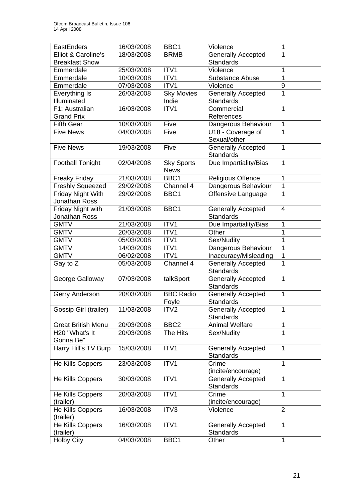| EastEnders                | 16/03/2008 | BBC1              | Violence                  | 1              |
|---------------------------|------------|-------------------|---------------------------|----------------|
| Elliot & Caroline's       | 18/03/2008 | <b>BRMB</b>       | <b>Generally Accepted</b> | 1              |
| <b>Breakfast Show</b>     |            |                   | <b>Standards</b>          |                |
| Emmerdale                 | 25/03/2008 | ITV1              | Violence                  | 1              |
| Emmerdale                 | 10/03/2008 | ITV1              | <b>Substance Abuse</b>    | 1              |
| Emmerdale                 | 07/03/2008 | ITV1              | Violence                  | 9              |
| Everything Is             | 26/03/2008 | <b>Sky Movies</b> | <b>Generally Accepted</b> | $\overline{1}$ |
| Illuminated               |            | Indie             | <b>Standards</b>          |                |
| F1: Australian            | 16/03/2008 | ITV1              | Commercial                | 1              |
| <b>Grand Prix</b>         |            |                   | References                |                |
| <b>Fifth Gear</b>         | 10/03/2008 | Five              | Dangerous Behaviour       | 1              |
| <b>Five News</b>          | 04/03/2008 | Five              | U18 - Coverage of         | 1              |
|                           |            |                   | Sexual/other              |                |
| <b>Five News</b>          | 19/03/2008 | Five              | <b>Generally Accepted</b> | 1              |
|                           |            |                   | <b>Standards</b>          |                |
| <b>Football Tonight</b>   | 02/04/2008 | <b>Sky Sports</b> | Due Impartiality/Bias     | 1              |
|                           |            | <b>News</b>       |                           |                |
| <b>Freaky Friday</b>      | 21/03/2008 | BBC1              | <b>Religious Offence</b>  | 1              |
| <b>Freshly Squeezed</b>   | 29/02/2008 | Channel 4         | Dangerous Behaviour       | 1              |
| <b>Friday Night With</b>  | 29/02/2008 | BBC1              | Offensive Language        | $\overline{1}$ |
| Jonathan Ross             |            |                   |                           |                |
| Friday Night with         | 21/03/2008 | BBC <sub>1</sub>  | <b>Generally Accepted</b> | $\overline{4}$ |
| Jonathan Ross             |            |                   | <b>Standards</b>          |                |
| <b>GMTV</b>               | 21/03/2008 | ITV1              | Due Impartiality/Bias     | 1              |
| <b>GMTV</b>               | 20/03/2008 | ITV1              | Other                     | 1              |
| <b>GMTV</b>               | 05/03/2008 | ITV1              | Sex/Nudity                | 1              |
| <b>GMTV</b>               | 14/03/2008 | ITV1              | Dangerous Behaviour       | 1              |
| <b>GMTV</b>               | 06/02/2008 | ITV1              | Inaccuracy/Misleading     | 1              |
| Gay to Z                  | 05/03/2008 | Channel 4         | <b>Generally Accepted</b> | 1              |
|                           |            |                   | <b>Standards</b>          |                |
| George Galloway           | 07/03/2008 | talkSport         | <b>Generally Accepted</b> | $\mathbf{1}$   |
|                           |            |                   | <b>Standards</b>          |                |
| Gerry Anderson            | 20/03/2008 | <b>BBC Radio</b>  | Generally Accepted        | 1              |
|                           |            | Foyle             | <b>Standards</b>          |                |
| Gossip Girl (trailer)     | 11/03/2008 | ITV <sub>2</sub>  | <b>Generally Accepted</b> | 1              |
|                           |            |                   | <b>Standards</b>          |                |
| <b>Great British Menu</b> | 20/03/2008 | BBC <sub>2</sub>  | <b>Animal Welfare</b>     | 1              |
| H20 "What's It            | 20/03/2008 | The Hits          | Sex/Nudity                | $\overline{1}$ |
| Gonna Be"                 |            |                   |                           |                |
| Harry Hill's TV Burp      | 15/03/2008 | ITV1              | <b>Generally Accepted</b> | $\mathbf{1}$   |
|                           |            |                   | <b>Standards</b>          |                |
| He Kills Coppers          | 23/03/2008 | ITV1              | Crime                     | 1              |
|                           |            |                   | (incite/encourage)        |                |
| He Kills Coppers          | 30/03/2008 | ITV1              | <b>Generally Accepted</b> | 1              |
|                           |            |                   | <b>Standards</b>          |                |
| He Kills Coppers          | 20/03/2008 | ITV1              | Crime                     | 1              |
| (trailer)                 |            |                   | (incite/encourage)        |                |
| He Kills Coppers          | 16/03/2008 | ITV3              | Violence                  | $\overline{2}$ |
| (trailer)                 |            |                   |                           |                |
| He Kills Coppers          | 16/03/2008 | ITV1              | <b>Generally Accepted</b> | $\mathbf{1}$   |
| (trailer)                 |            |                   | <b>Standards</b>          |                |
| <b>Holby City</b>         | 04/03/2008 | BBC1              | Other                     | $\mathbf 1$    |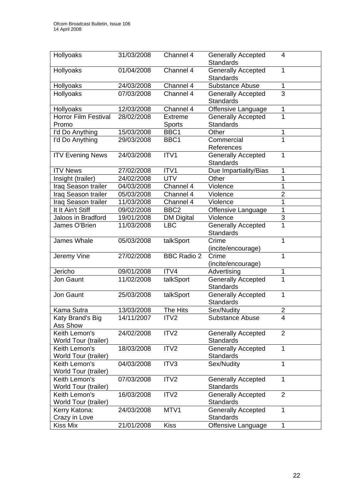| <b>Hollyoaks</b>                      | 31/03/2008 | Channel 4          | <b>Generally Accepted</b><br><b>Standards</b> | 4              |
|---------------------------------------|------------|--------------------|-----------------------------------------------|----------------|
| Hollyoaks                             | 01/04/2008 | Channel 4          | <b>Generally Accepted</b><br><b>Standards</b> | 1              |
| Hollyoaks                             | 24/03/2008 | Channel 4          | <b>Substance Abuse</b>                        | 1              |
| Hollyoaks                             | 07/03/2008 | Channel 4          | <b>Generally Accepted</b><br>Standards        | $\overline{3}$ |
| Hollyoaks                             | 12/03/2008 | Channel 4          | Offensive Language                            | 1              |
| Horror Film Festival                  | 28/02/2008 | <b>Extreme</b>     | <b>Generally Accepted</b>                     | 1              |
| Promo                                 |            | <b>Sports</b>      | <b>Standards</b>                              |                |
| I'd Do Anything                       | 15/03/2008 | BBC1               | Other                                         | 1              |
| I'd Do Anything                       | 29/03/2008 | BBC1               | Commercial                                    | 1              |
|                                       |            |                    | References                                    |                |
| <b>ITV Evening News</b>               | 24/03/2008 | ITV1               | <b>Generally Accepted</b><br><b>Standards</b> | 1              |
| <b>ITV News</b>                       | 27/02/2008 | ITV1               | Due Impartiality/Bias                         | 1              |
| Insight (trailer)                     | 24/02/2008 | <b>UTV</b>         | Other                                         | 1              |
| Iraq Season trailer                   | 04/03/2008 | Channel 4          | Violence                                      | 1              |
| Iraq Season trailer                   | 05/03/2008 | Channel 4          | Violence                                      | $\overline{2}$ |
| Iraq Season trailer                   | 11/03/2008 | Channel 4          | Violence                                      | 1              |
| It It Ain't Stiff                     | 09/02/2008 | BBC <sub>2</sub>   | Offensive Language                            | 1              |
| Jaloos in Bradford                    | 19/01/2008 | <b>DM Digital</b>  | Violence                                      | $\overline{3}$ |
| James O'Brien                         | 11/03/2008 | <b>LBC</b>         | <b>Generally Accepted</b><br><b>Standards</b> | $\overline{1}$ |
| James Whale                           | 05/03/2008 | talkSport          | Crime<br>(incite/encourage)                   | 1              |
| Jeremy Vine                           | 27/02/2008 | <b>BBC Radio 2</b> | Crime<br>(incite/encourage)                   | 1              |
| Jericho                               | 09/01/2008 | ITV4               | Advertising                                   | 1              |
| Jon Gaunt                             | 11/02/2008 | talkSport          | Generally Accepted<br><b>Standards</b>        | 1              |
| Jon Gaunt                             | 25/03/2008 | talkSport          | Generally Accepted<br><b>Standards</b>        | 1              |
| Kama Sutra                            | 13/03/2008 | The Hits           | Sex/Nudity                                    | $\overline{2}$ |
| Katy Brand's Big<br>Ass Show          | 14/11/2007 | ITV2               | Substance Abuse                               | 4              |
| Keith Lemon's<br>World Tour (trailer) | 24/02/2008 | ITV <sub>2</sub>   | <b>Generally Accepted</b><br>Standards        | $\overline{2}$ |
| Keith Lemon's<br>World Tour (trailer) | 18/03/2008 | ITV <sub>2</sub>   | <b>Generally Accepted</b><br><b>Standards</b> | 1              |
| Keith Lemon's<br>World Tour (trailer) | 04/03/2008 | ITV3               | Sex/Nudity                                    | 1              |
| Keith Lemon's<br>World Tour (trailer) | 07/03/2008 | ITV <sub>2</sub>   | <b>Generally Accepted</b><br><b>Standards</b> | 1              |
| Keith Lemon's<br>World Tour (trailer) | 16/03/2008 | ITV <sub>2</sub>   | <b>Generally Accepted</b><br><b>Standards</b> | $\overline{2}$ |
| Kerry Katona:<br>Crazy in Love        | 24/03/2008 | MTV1               | <b>Generally Accepted</b><br><b>Standards</b> | 1              |
| Kiss Mix                              | 21/01/2008 | <b>Kiss</b>        | Offensive Language                            | 1              |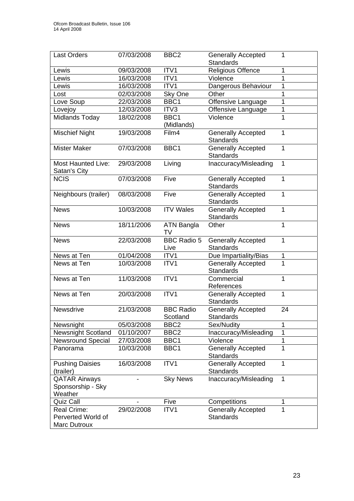| <b>Last Orders</b>                                       | 07/03/2008 | BBC <sub>2</sub>             | <b>Generally Accepted</b>                     | 1              |
|----------------------------------------------------------|------------|------------------------------|-----------------------------------------------|----------------|
|                                                          |            |                              | <b>Standards</b>                              |                |
| Lewis                                                    | 09/03/2008 | ITV1                         | <b>Religious Offence</b>                      | 1              |
| Lewis                                                    | 16/03/2008 | ITV1                         | Violence                                      | 1              |
| Lewis                                                    | 16/03/2008 | ITV1                         | Dangerous Behaviour                           | 1              |
| Lost                                                     | 02/03/2008 | Sky One                      | Other                                         | 1              |
| Love Soup                                                | 22/03/2008 | BBC1                         | Offensive Language                            | $\overline{1}$ |
| Lovejoy                                                  | 12/03/2008 | ITV3                         | Offensive Language                            | 1              |
| Midlands Today                                           | 18/02/2008 | BBC1<br>(Midlands)           | Violence                                      | 1              |
| <b>Mischief Night</b>                                    | 19/03/2008 | Film4                        | <b>Generally Accepted</b><br><b>Standards</b> | 1              |
| <b>Mister Maker</b>                                      | 07/03/2008 | BBC1                         | <b>Generally Accepted</b><br><b>Standards</b> | 1              |
| <b>Most Haunted Live:</b><br>Satan's City                | 29/03/2008 | Living                       | Inaccuracy/Misleading                         | 1              |
| <b>NCIS</b>                                              | 07/03/2008 | Five                         | <b>Generally Accepted</b><br><b>Standards</b> | 1              |
| Neighbours (trailer)                                     | 08/03/2008 | Five                         | <b>Generally Accepted</b><br><b>Standards</b> | $\mathbf{1}$   |
| <b>News</b>                                              | 10/03/2008 | <b>ITV Wales</b>             | Generally Accepted<br><b>Standards</b>        | 1              |
| <b>News</b>                                              | 18/11/2006 | <b>ATN Bangla</b><br>TV      | Other                                         | 1              |
| <b>News</b>                                              | 22/03/2008 | <b>BBC Radio 5</b><br>Live   | <b>Generally Accepted</b><br><b>Standards</b> | 1              |
| News at Ten                                              | 01/04/2008 | ITV1                         | Due Impartiality/Bias                         | 1              |
| News at Ten                                              | 10/03/2008 | ITV1                         | <b>Generally Accepted</b><br><b>Standards</b> | 1              |
| News at Ten                                              | 11/03/2008 | ITV1                         | Commercial<br>References                      | 1              |
| News at Ten                                              | 20/03/2008 | ITV1                         | <b>Generally Accepted</b><br><b>Standards</b> | $\mathbf{1}$   |
| Newsdrive                                                | 21/03/2008 | <b>BBC Radio</b><br>Scotland | <b>Generally Accepted</b><br>Standards        | 24             |
| Newsnight                                                | 05/03/2008 | BBC <sub>2</sub>             | Sex/Nudity                                    | 1              |
| <b>Newsnight Scotland</b>                                | 01/10/2007 | BBC <sub>2</sub>             | Inaccuracy/Misleading                         | 1              |
| <b>Newsround Special</b>                                 | 27/03/2008 | BBC1                         | Violence                                      | 1              |
| Panorama                                                 | 10/03/2008 | BBC1                         | <b>Generally Accepted</b><br><b>Standards</b> | 1              |
| <b>Pushing Daisies</b><br>(trailer)                      | 16/03/2008 | ITV1                         | <b>Generally Accepted</b><br><b>Standards</b> | 1              |
| <b>QATAR Airways</b><br>Sponsorship - Sky<br>Weather     |            | <b>Sky News</b>              | Inaccuracy/Misleading                         | 1              |
| Quiz Call                                                |            | Five                         | Competitions                                  | 1              |
| <b>Real Crime:</b><br>Perverted World of<br>Marc Dutroux | 29/02/2008 | ITV1                         | <b>Generally Accepted</b><br><b>Standards</b> | 1              |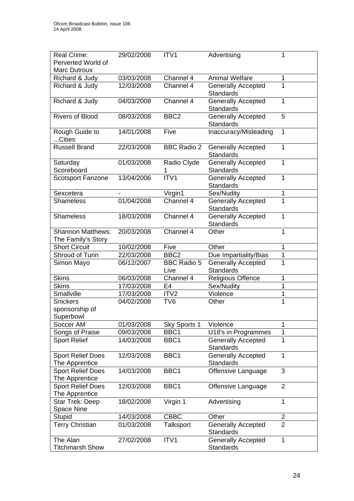| <b>Real Crime:</b>                             | 29/02/2008               | ITV1                       | Advertising                                   |                |
|------------------------------------------------|--------------------------|----------------------------|-----------------------------------------------|----------------|
| Perverted World of                             |                          |                            |                                               |                |
| Marc Dutroux                                   |                          |                            |                                               |                |
| Richard & Judy                                 | 03/03/2008               | Channel 4                  | <b>Animal Welfare</b>                         | 1              |
| Richard & Judy                                 | 12/03/2008               | Channel 4                  | <b>Generally Accepted</b><br><b>Standards</b> | 1              |
| Richard & Judy                                 | 04/03/2008               | Channel 4                  | <b>Generally Accepted</b><br>Standards        | 1              |
| <b>Rivers of Blood</b>                         | 08/03/2008               | BBC <sub>2</sub>           | <b>Generally Accepted</b><br><b>Standards</b> | 5              |
| Rough Guide to<br>Cities                       | 14/01/2008               | Five                       | Inaccuracy/Misleading                         |                |
| <b>Russell Brand</b>                           | 22/03/2008               | <b>BBC Radio 2</b>         | <b>Generally Accepted</b><br><b>Standards</b> | 1              |
| Saturday<br>Scoreboard                         | 01/03/2008               | Radio Clyde<br>1           | <b>Generally Accepted</b><br><b>Standards</b> | 1              |
| <b>Scotsport Fanzone</b>                       | 13/04/2006               | ITV1                       | <b>Generally Accepted</b><br><b>Standards</b> | 1              |
| Sexcetera                                      | $\overline{\phantom{a}}$ | Virgin1                    | Sex/Nudity                                    | 1              |
| <b>Shameless</b>                               | 01/04/2008               | Channel 4                  | <b>Generally Accepted</b><br><b>Standards</b> | 1              |
| <b>Shameless</b>                               | 18/03/2008               | Channel 4                  | <b>Generally Accepted</b><br><b>Standards</b> | 1              |
| <b>Shannon Matthews:</b><br>The Family's Story | 20/03/2008               | Channel 4                  | Other                                         |                |
| <b>Short Circuit</b>                           | 10/02/2008               | Five                       | Other                                         | 1              |
| Shroud of Turin                                | 22/03/2008               | BBC <sub>2</sub>           | Due Impartiality/Bias                         | 1              |
| Simon Mayo                                     | 06/12/2007               | <b>BBC Radio 5</b><br>Live | <b>Generally Accepted</b><br><b>Standards</b> | 1              |
| <b>Skins</b>                                   | 06/03/2008               | Channel 4                  | Religious Offence                             | 1              |
| <b>Skins</b>                                   | 17/03/2008               | E4                         | Sex/Nudity                                    | 1              |
| Smallville                                     | 17/03/2008               | ITV <sub>2</sub>           | Violence                                      | 1              |
| <b>Snickers</b><br>sponsorship of<br>Superbowl | 04/02/2008               | TV <sub>6</sub>            | Other                                         | 1              |
| Soccer AM                                      | 01/03/2008               | Sky Sports 1               | Violence                                      | 1              |
| Songs of Praise                                | 09/03/2008               | BBC1                       | U18's in Programmes                           | 1              |
| <b>Sport Relief</b>                            | 14/03/2008               | BBC1                       | <b>Generally Accepted</b><br>Standards        | 1              |
| <b>Sport Relief Does</b><br>The Apprentice     | 12/03/2008               | BBC1                       | <b>Generally Accepted</b><br><b>Standards</b> | 1              |
| <b>Sport Relief Does</b><br>The Apprentice     | 14/03/2008               | BBC1                       | Offensive Language                            | 3              |
| <b>Sport Relief Does</b><br>The Apprentice     | 12/03/2008               | BBC1                       | Offensive Language                            | $\overline{2}$ |
| Star Trek: Deep<br><b>Space Nine</b>           | 18/02/2008               | Virgin 1                   | Advertising                                   | 1              |
| <b>Stupid</b>                                  | 14/03/2008               | <b>CBBC</b>                | Other                                         | $\overline{2}$ |
| <b>Terry Christian</b>                         | 01/03/2008               | <b>Talksport</b>           | <b>Generally Accepted</b><br><b>Standards</b> | $\overline{2}$ |
| The Alan<br><b>Titchmarsh Show</b>             | 27/02/2008               | ITV1                       | <b>Generally Accepted</b><br><b>Standards</b> | 1              |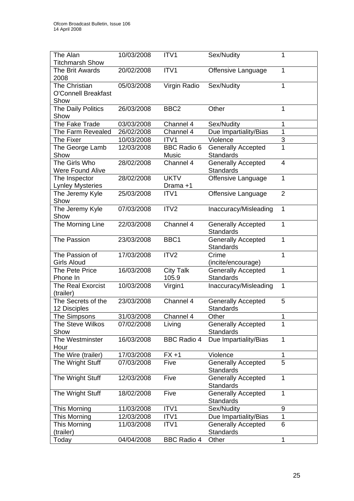| The Alan                   | 10/03/2008 | ITV1               | Sex/Nudity                                    | 1              |
|----------------------------|------------|--------------------|-----------------------------------------------|----------------|
| <b>Titchmarsh Show</b>     |            |                    |                                               |                |
| The Brit Awards            | 20/02/2008 | ITV1               | Offensive Language                            | 1              |
| 2008                       |            |                    |                                               |                |
| The Christian              | 05/03/2008 | Virgin Radio       | Sex/Nudity                                    | 1              |
| <b>O'Connell Breakfast</b> |            |                    |                                               |                |
| Show                       |            |                    |                                               |                |
| The Daily Politics         | 26/03/2008 | BBC <sub>2</sub>   | Other                                         | 1              |
| Show                       |            |                    |                                               |                |
| The Fake Trade             | 03/03/2008 | Channel 4          | Sex/Nudity                                    | 1              |
| The Farm Revealed          | 26/02/2008 | Channel 4          | Due Impartiality/Bias                         | 1              |
| The Fixer                  | 10/03/2008 | ITV1               | Violence                                      | 3              |
| The George Lamb            | 12/03/2008 | <b>BBC Radio 6</b> | <b>Generally Accepted</b>                     | 1              |
| Show<br>The Girls Who      | 28/02/2008 | Music<br>Channel 4 | <b>Standards</b>                              | $\overline{4}$ |
| <b>Were Found Alive</b>    |            |                    | <b>Generally Accepted</b><br><b>Standards</b> |                |
| The Inspector              | 28/02/2008 | <b>UKTV</b>        | Offensive Language                            | 1              |
| <b>Lynley Mysteries</b>    |            | Drama +1           |                                               |                |
| The Jeremy Kyle            | 25/03/2008 | ITV1               | Offensive Language                            | $\overline{2}$ |
| Show                       |            |                    |                                               |                |
| The Jeremy Kyle            | 07/03/2008 | ITV2               | Inaccuracy/Misleading                         | $\mathbf{1}$   |
| Show                       |            |                    |                                               |                |
| The Morning Line           | 22/03/2008 | Channel 4          | <b>Generally Accepted</b>                     | 1              |
|                            |            |                    | <b>Standards</b>                              |                |
| The Passion                | 23/03/2008 | BBC1               | <b>Generally Accepted</b>                     | 1              |
|                            |            |                    | <b>Standards</b>                              |                |
| The Passion of             | 17/03/2008 | ITV <sub>2</sub>   | Crime                                         | 1              |
| <b>Girls Aloud</b>         |            |                    | (incite/encourage)                            |                |
| The Pete Price             | 16/03/2008 | <b>City Talk</b>   | <b>Generally Accepted</b>                     | 1              |
| Phone In                   |            | 105.9              | <b>Standards</b>                              |                |
| <b>The Real Exorcist</b>   | 10/03/2008 | Virgin1            | Inaccuracy/Misleading                         | 1              |
| (trailer)                  |            |                    |                                               |                |
| The Secrets of the         | 23/03/2008 | Channel 4          | <b>Generally Accepted</b>                     | 5              |
| 12 Disciples               |            |                    | <b>Standards</b>                              |                |
| The Simpsons               | 31/03/2008 | Channel 4          | Other                                         | $\mathbf 1$    |
| The Steve Wilkos           | 07/02/2008 | Living             | <b>Generally Accepted</b>                     |                |
| Show                       |            |                    | <b>Standards</b>                              |                |
| The Westminster            | 16/03/2008 | <b>BBC Radio 4</b> | Due Impartiality/Bias                         | 1              |
| Hour<br>The Wire (trailer) | 17/03/2008 | $FX + 1$           | Violence                                      |                |
| The Wright Stuff           | 07/03/2008 | Five               | <b>Generally Accepted</b>                     | 1<br>5         |
|                            |            |                    | <b>Standards</b>                              |                |
| The Wright Stuff           | 12/03/2008 | Five               | <b>Generally Accepted</b>                     | 1              |
|                            |            |                    | <b>Standards</b>                              |                |
| The Wright Stuff           | 18/02/2008 | Five               | <b>Generally Accepted</b>                     | 1              |
|                            |            |                    | <b>Standards</b>                              |                |
| This Morning               | 11/03/2008 | ITV1               | Sex/Nudity                                    | 9              |
| This Morning               | 12/03/2008 | ITV1               | Due Impartiality/Bias                         | 1              |
| This Morning               | 11/03/2008 | ITV1               | <b>Generally Accepted</b>                     | $6\phantom{1}$ |
| (trailer)                  |            |                    | <b>Standards</b>                              |                |
| Today                      | 04/04/2008 | <b>BBC Radio 4</b> | Other                                         | 1              |